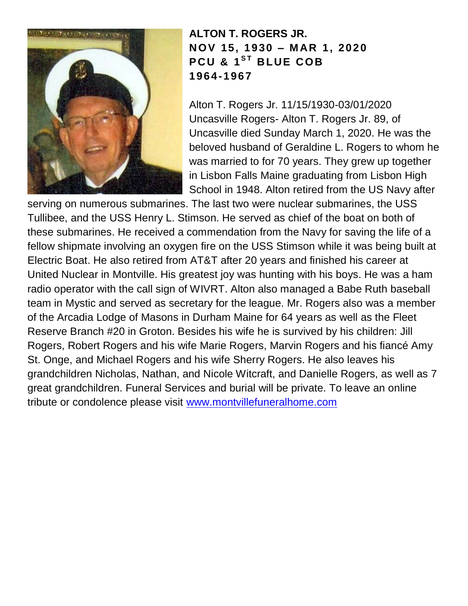

**ALTON T. ROGERS JR. N OV 15, 1930 – M AR 1, 2020 P C U & 1 S T B LUE C OB 1964-1967**

Alton T. Rogers Jr. 11/15/1930-03/01/2020 Uncasville Rogers- Alton T. Rogers Jr. 89, of Uncasville died Sunday March 1, 2020. He was the beloved husband of Geraldine L. Rogers to whom he was married to for 70 years. They grew up together in Lisbon Falls Maine graduating from Lisbon High School in 1948. Alton retired from the US Navy after

serving on numerous submarines. The last two were nuclear submarines, the USS Tullibee, and the USS Henry L. Stimson. He served as chief of the boat on both of these submarines. He received a commendation from the Navy for saving the life of a fellow shipmate involving an oxygen fire on the USS Stimson while it was being built at Electric Boat. He also retired from AT&T after 20 years and finished his career at United Nuclear in Montville. His greatest joy was hunting with his boys. He was a ham radio operator with the call sign of WIVRT. Alton also managed a Babe Ruth baseball team in Mystic and served as secretary for the league. Mr. Rogers also was a member of the Arcadia Lodge of Masons in Durham Maine for 64 years as well as the Fleet Reserve Branch #20 in Groton. Besides his wife he is survived by his children: Jill Rogers, Robert Rogers and his wife Marie Rogers, Marvin Rogers and his fiancé Amy St. Onge, and Michael Rogers and his wife Sherry Rogers. He also leaves his grandchildren Nicholas, Nathan, and Nicole Witcraft, and Danielle Rogers, as well as 7 great grandchildren. Funeral Services and burial will be private. To leave an online tribute or condolence please visit [www.montvillefuneralhome.com](http://www.montvillefuneralhome.com/)